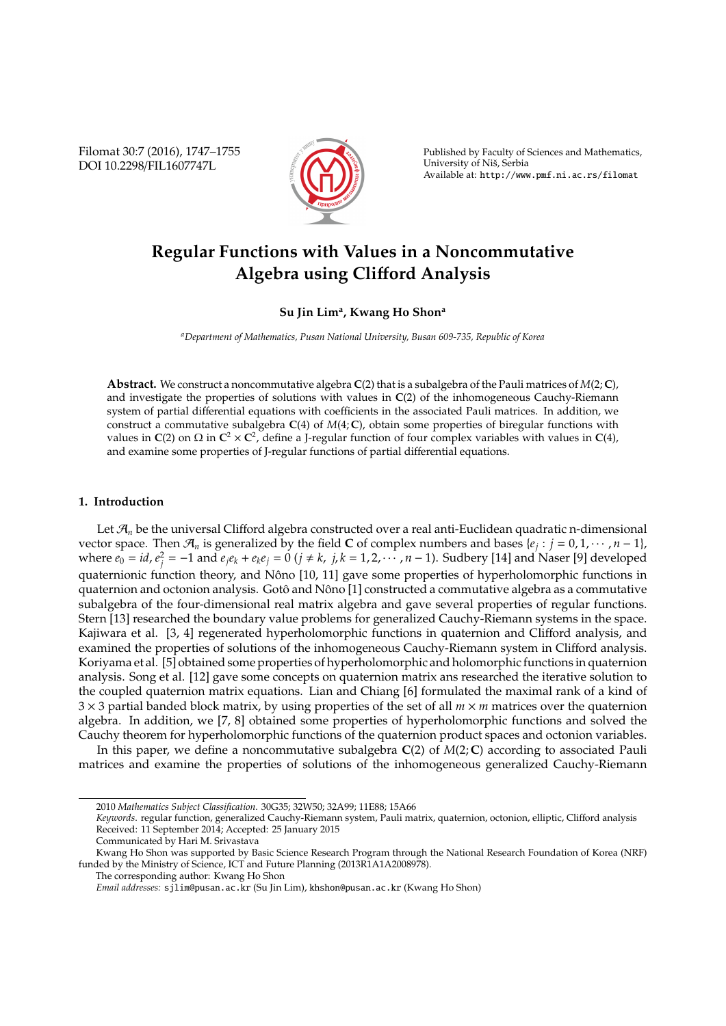Filomat 30:7 (2016), 1747–1755 DOI 10.2298/FIL1607747L



Published by Faculty of Sciences and Mathematics, University of Nis, Serbia ˇ Available at: http://www.pmf.ni.ac.rs/filomat

# **Regular Functions with Values in a Noncommutative Algebra using Cli**ff**ord Analysis**

## **Su Jin Lim<sup>a</sup> , Kwang Ho Shon<sup>a</sup>**

*<sup>a</sup>Department of Mathematics, Pusan National University, Busan 609-735, Republic of Korea*

**Abstract.** We construct a noncommutative algebra **C**(2) that is a subalgebra of the Pauli matrices of *M*(2; **C**), and investigate the properties of solutions with values in **C**(2) of the inhomogeneous Cauchy-Riemann system of partial differential equations with coefficients in the associated Pauli matrices. In addition, we construct a commutative subalgebra  $C(4)$  of  $M(4; C)$ , obtain some properties of biregular functions with values in  $C(2)$  on  $\Omega$  in  $C^2 \times C^2$ , define a J-regular function of four complex variables with values in  $C(4)$ , and examine some properties of J-regular functions of partial differential equations.

#### **1. Introduction**

Let  $\mathcal{A}_n$  be the universal Clifford algebra constructed over a real anti-Euclidean quadratic n-dimensional vector space. Then  $\mathcal{A}_n$  is generalized by the field **C** of complex numbers and bases { $e_j : j = 0, 1, \dots, n-1$ }, where  $e_0 = id$ ,  $e_j^2 = -1$  and  $e_j e_k + e_k e_j = 0$  ( $j \neq k$ ,  $j, k = 1, 2, \dots, n-1$ ). Sudbery [14] and Naser [9] developed quaternionic function theory, and Nôno [10, 11] gave some properties of hyperholomorphic functions in quaternion and octonion analysis. Gotô and Nôno [1] constructed a commutative algebra as a commutative subalgebra of the four-dimensional real matrix algebra and gave several properties of regular functions. Stern [13] researched the boundary value problems for generalized Cauchy-Riemann systems in the space. Kajiwara et al. [3, 4] regenerated hyperholomorphic functions in quaternion and Clifford analysis, and examined the properties of solutions of the inhomogeneous Cauchy-Riemann system in Clifford analysis. Koriyama et al. [5] obtained some properties of hyperholomorphic and holomorphic functions in quaternion analysis. Song et al. [12] gave some concepts on quaternion matrix ans researched the iterative solution to the coupled quaternion matrix equations. Lian and Chiang [6] formulated the maximal rank of a kind of 3 × 3 partial banded block matrix, by using properties of the set of all *m* × *m* matrices over the quaternion algebra. In addition, we [7, 8] obtained some properties of hyperholomorphic functions and solved the Cauchy theorem for hyperholomorphic functions of the quaternion product spaces and octonion variables.

In this paper, we define a noncommutative subalgebra **C**(2) of *M*(2; **C**) according to associated Pauli matrices and examine the properties of solutions of the inhomogeneous generalized Cauchy-Riemann

<sup>2010</sup> *Mathematics Subject Classification*. 30G35; 32W50; 32A99; 11E88; 15A66

*Keywords*. regular function, generalized Cauchy-Riemann system, Pauli matrix, quaternion, octonion, elliptic, Clifford analysis Received: 11 September 2014; Accepted: 25 January 2015

Communicated by Hari M. Srivastava

Kwang Ho Shon was supported by Basic Science Research Program through the National Research Foundation of Korea (NRF) funded by the Ministry of Science, ICT and Future Planning (2013R1A1A2008978).

The corresponding author: Kwang Ho Shon

*Email addresses:* sjlim@pusan.ac.kr (Su Jin Lim), khshon@pusan.ac.kr (Kwang Ho Shon)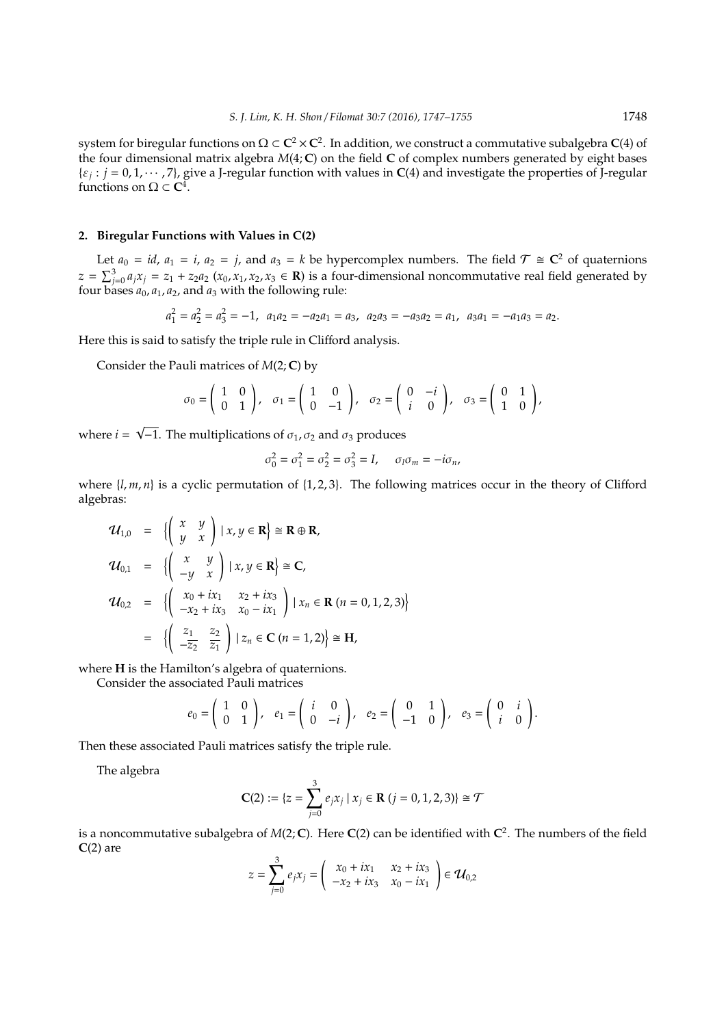system for biregular functions on  $\Omega \subset \mathbf{C}^2 \times \mathbf{C}^2$ . In addition, we construct a commutative subalgebra  $\mathbf{C}(4)$  of the four dimensional matrix algebra *M*(4; **C**) on the field **C** of complex numbers generated by eight bases  $\{\varepsilon_j : j = 0, 1, \dots, 7\}$ , give a J-regular function with values in **C**(4) and investigate the properties of J-regular functions on  $\Omega \subset \mathbb{C}^4$ .

### **2. Biregular Functions with Values in C(2)**

Let  $a_0 = id$ ,  $a_1 = i$ ,  $a_2 = j$ , and  $a_3 = k$  be hypercomplex numbers. The field  $\mathcal{T} \cong \mathbb{C}^2$  of quaternions  $z = \sum_{j=0}^{3} a_j x_j = z_1 + z_2 a_2 (x_0, x_1, x_2, x_3 \in \mathbf{R})$  is a four-dimensional noncommutative real field generated by four bases *a*0, *a*1, *a*2, and *a*<sup>3</sup> with the following rule:

$$
a_1^2 = a_2^2 = a_3^2 = -1, \ \ a_1 a_2 = -a_2 a_1 = a_3, \ \ a_2 a_3 = -a_3 a_2 = a_1, \ \ a_3 a_1 = -a_1 a_3 = a_2.
$$

Here this is said to satisfy the triple rule in Clifford analysis.

Consider the Pauli matrices of *M*(2; **C**) by

$$
\sigma_0 = \begin{pmatrix} 1 & 0 \\ 0 & 1 \end{pmatrix}, \quad \sigma_1 = \begin{pmatrix} 1 & 0 \\ 0 & -1 \end{pmatrix}, \quad \sigma_2 = \begin{pmatrix} 0 & -i \\ i & 0 \end{pmatrix}, \quad \sigma_3 = \begin{pmatrix} 0 & 1 \\ 1 & 0 \end{pmatrix},
$$

where *i* = √  $\overline{-1}$ . The multiplications of  $\sigma_1$ ,  $\sigma_2$  and  $\sigma_3$  produces

$$
\sigma_0^2 = \sigma_1^2 = \sigma_2^2 = \sigma_3^2 = I, \quad \sigma_l \sigma_m = -i \sigma_n,
$$

where  $\{l, m, n\}$  is a cyclic permutation of  $\{1, 2, 3\}$ . The following matrices occur in the theory of Clifford algebras:

$$
\mathbf{U}_{1,0} = \left\{ \begin{pmatrix} x & y \\ y & x \end{pmatrix} | x, y \in \mathbf{R} \right\} \cong \mathbf{R} \oplus \mathbf{R},
$$
  
\n
$$
\mathbf{U}_{0,1} = \left\{ \begin{pmatrix} x & y \\ -y & x \end{pmatrix} | x, y \in \mathbf{R} \right\} \cong \mathbf{C},
$$
  
\n
$$
\mathbf{U}_{0,2} = \left\{ \begin{pmatrix} x_0 + ix_1 & x_2 + ix_3 \\ -x_2 + ix_3 & x_0 - ix_1 \end{pmatrix} | x_n \in \mathbf{R} \ (n = 0, 1, 2, 3) \right\}
$$
  
\n
$$
= \left\{ \begin{pmatrix} \frac{z_1}{z_2} & \frac{z_2}{z_1} \\ -\frac{z_2}{z_2} & \frac{z_1}{z_1} \end{pmatrix} | z_n \in \mathbf{C} \ (n = 1, 2) \right\} \cong \mathbf{H},
$$

where **H** is the Hamilton's algebra of quaternions.

Consider the associated Pauli matrices

$$
e_0=\left(\begin{array}{cc}1&0\\0&1\end{array}\right), e_1=\left(\begin{array}{cc}i&0\\0&-i\end{array}\right), e_2=\left(\begin{array}{cc}0&1\\-1&0\end{array}\right), e_3=\left(\begin{array}{cc}0&i\\i&0\end{array}\right).
$$

Then these associated Pauli matrices satisfy the triple rule.

The algebra

$$
\mathbf{C}(2) := \{ z = \sum_{j=0}^{3} e_j x_j \mid x_j \in \mathbf{R} \ (j=0,1,2,3) \} \cong \mathcal{T}
$$

is a noncommutative subalgebra of *M*(2; **C**). Here **C**(2) can be identified with **C** 2 . The numbers of the field  $C(2)$  are

$$
z = \sum_{j=0}^{3} e_j x_j = \begin{pmatrix} x_0 + ix_1 & x_2 + ix_3 \\ -x_2 + ix_3 & x_0 - ix_1 \end{pmatrix} \in \mathcal{U}_{0,2}
$$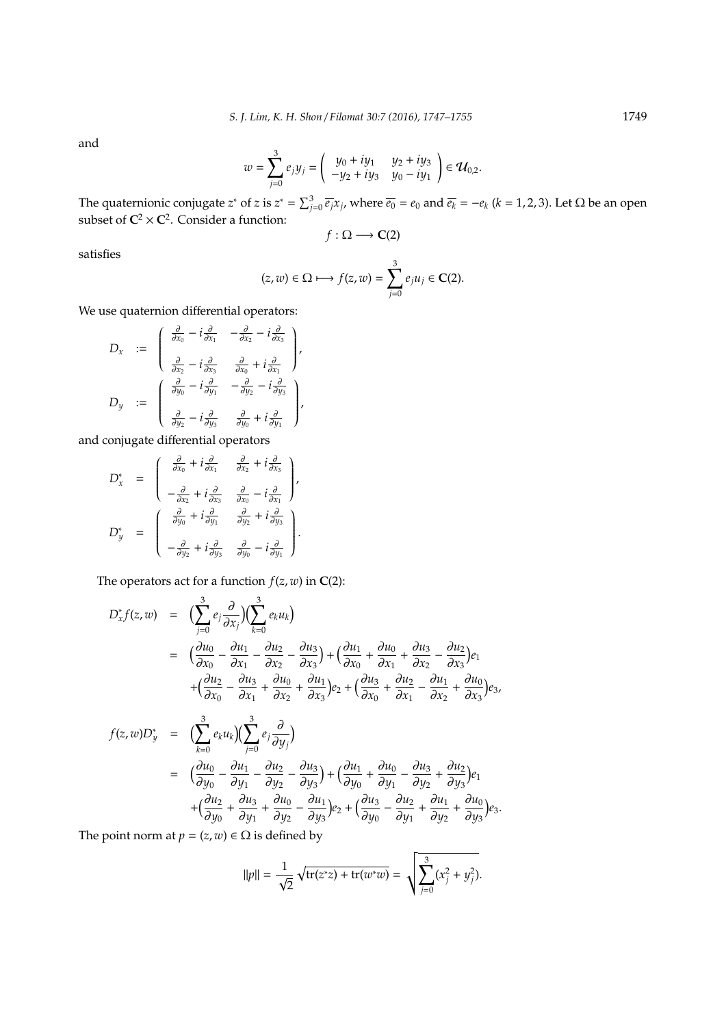and

$$
w = \sum_{j=0}^{3} e_j y_j = \begin{pmatrix} y_0 + iy_1 & y_2 + iy_3 \ -y_2 + iy_3 & y_0 - iy_1 \end{pmatrix} \in \mathcal{U}_{0,2}.
$$

The quaternionic conjugate *z*<sup>\*</sup> of *z* is  $z^* = \sum_{j=0}^3 \overline{e_j} x_j$ , where  $\overline{e_0} = e_0$  and  $\overline{e_k} = -e_k$  ( $k = 1, 2, 3$ ). Let  $\Omega$  be an open subset of  $C^2 \times C^2$ . Consider a function:

$$
f:\Omega\longrightarrow\mathbf{C}(2)
$$

satisfies

$$
(z, w) \in \Omega \longmapsto f(z, w) = \sum_{j=0}^{3} e_j u_j \in \mathbf{C}(2).
$$

We use quaternion differential operators:

$$
D_x := \begin{pmatrix} \frac{\partial}{\partial x_0} - i\frac{\partial}{\partial x_1} & -\frac{\partial}{\partial x_2} - i\frac{\partial}{\partial x_3} \\ \frac{\partial}{\partial x_2} - i\frac{\partial}{\partial x_3} & \frac{\partial}{\partial x_0} + i\frac{\partial}{\partial x_1} \end{pmatrix},
$$
  

$$
D_y := \begin{pmatrix} \frac{\partial}{\partial y_0} - i\frac{\partial}{\partial y_1} & -\frac{\partial}{\partial y_2} - i\frac{\partial}{\partial y_3} \\ \frac{\partial}{\partial y_2} - i\frac{\partial}{\partial y_3} & \frac{\partial}{\partial y_0} + i\frac{\partial}{\partial y_1} \end{pmatrix},
$$

and conjugate differential operators

$$
D_x^* = \begin{pmatrix} \frac{\partial}{\partial x_0} + i\frac{\partial}{\partial x_1} & \frac{\partial}{\partial x_2} + i\frac{\partial}{\partial x_3} \\ -\frac{\partial}{\partial x_2} + i\frac{\partial}{\partial x_3} & \frac{\partial}{\partial x_0} - i\frac{\partial}{\partial x_1} \end{pmatrix},
$$
  

$$
D_y^* = \begin{pmatrix} \frac{\partial}{\partial y_0} + i\frac{\partial}{\partial y_1} & \frac{\partial}{\partial y_2} + i\frac{\partial}{\partial y_3} \\ -\frac{\partial}{\partial y_2} + i\frac{\partial}{\partial y_3} & \frac{\partial}{\partial y_0} - i\frac{\partial}{\partial y_1} \end{pmatrix}.
$$

The operators act for a function  $f(z, w)$  in **C**(2):

$$
D_x^* f(z, w) = \left( \sum_{j=0}^3 e_j \frac{\partial}{\partial x_j} \right) \left( \sum_{k=0}^3 e_k u_k \right)
$$
  
\n
$$
= \left( \frac{\partial u_0}{\partial x_0} - \frac{\partial u_1}{\partial x_1} - \frac{\partial u_2}{\partial x_2} - \frac{\partial u_3}{\partial x_3} \right) + \left( \frac{\partial u_1}{\partial x_0} + \frac{\partial u_0}{\partial x_1} + \frac{\partial u_3}{\partial x_2} - \frac{\partial u_2}{\partial x_3} \right) e_1
$$
  
\n
$$
+ \left( \frac{\partial u_2}{\partial x_0} - \frac{\partial u_3}{\partial x_1} + \frac{\partial u_0}{\partial x_2} + \frac{\partial u_1}{\partial x_3} \right) e_2 + \left( \frac{\partial u_3}{\partial x_0} + \frac{\partial u_2}{\partial x_1} - \frac{\partial u_1}{\partial x_2} + \frac{\partial u_0}{\partial x_3} \right) e_3,
$$
  
\n
$$
f(z, w) D_y^* = \left( \sum_{k=0}^3 e_k u_k \right) \left( \sum_{j=0}^3 e_j \frac{\partial}{\partial y_j} \right)
$$
  
\n
$$
= \left( \frac{\partial u_0}{\partial y_0} - \frac{\partial u_1}{\partial y_1} - \frac{\partial u_2}{\partial y_2} - \frac{\partial u_3}{\partial y_3} \right) + \left( \frac{\partial u_1}{\partial y_0} + \frac{\partial u_0}{\partial y_1} - \frac{\partial u_3}{\partial y_2} + \frac{\partial u_2}{\partial y_3} \right) e_1
$$
  
\n
$$
+ \left( \frac{\partial u_2}{\partial y_0} + \frac{\partial u_3}{\partial y_1} + \frac{\partial u_0}{\partial y_2} - \frac{\partial u_1}{\partial y_3} \right) e_2 + \left( \frac{\partial u_3}{\partial y_0} - \frac{\partial u_2}{\partial y_1} + \frac{\partial u_1}{\partial y_2} + \frac{\partial u_0}{\partial y_3} \right) e_3.
$$

The point norm at  $p = (z, w) \in \Omega$  is defined by

$$
||p|| = \frac{1}{\sqrt{2}} \sqrt{\text{tr}(z^*z) + \text{tr}(w^*w)} = \sqrt{\sum_{j=0}^3 (x_j^2 + y_j^2)}.
$$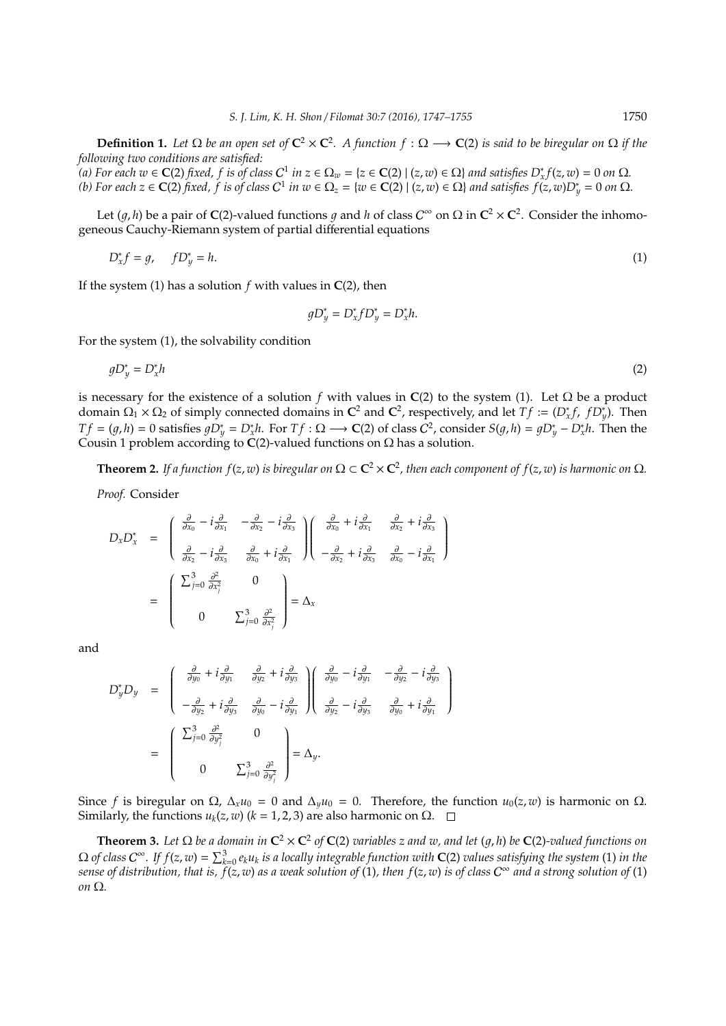**Definition 1.** Let  $\Omega$  be an open set of  $C^2 \times C^2$ . A function  $f : \Omega \longrightarrow C(2)$  is said to be biregular on  $\Omega$  if the *following two conditions are satisfied:*

(a) For each  $w \in C(2)$  fixed,  $f$  is of class  $C^1$  in  $z \in \Omega_w = \{z \in C(2) \mid (z,w) \in \Omega\}$  and satisfies  $D_x^* f(z,w) = 0$  on  $\Omega$ . (b) For each  $z \in \mathbb{C}(2)$  fixed,  $f$  is of class  $C^1$  in  $w \in \Omega_z = \{w \in \mathbb{C}(2) \mid (z, w) \in \Omega\}$  and satisfies  $f(z, w)D_y^* = 0$  on  $\Omega$ .

Let  $(g, h)$  be a pair of **C**(2)-valued functions  $g$  and  $h$  of class  $C^{\infty}$  on  $\Omega$  in  $C^2 \times C^2$ . Consider the inhomogeneous Cauchy-Riemann system of partial differential equations

$$
D_x^* f = g, \quad f D_y^* = h. \tag{1}
$$

If the system (1) has a solution  $f$  with values in  $C(2)$ , then

$$
gD_y^* = D_x^* fD_y^* = D_x^* h.
$$

For the system (1), the solvability condition

$$
gD_y^* = D_x^*h \tag{2}
$$

is necessary for the existence of a solution *f* with values in  $C(2)$  to the system (1). Let  $\Omega$  be a product domain  $\Omega_1 \times \Omega_2$  of simply connected domains in  $\mathbb{C}^2$  and  $\mathbb{C}^2$ , respectively, and let  $Tf := (D_x^* f, f D_y^*)$ . Then  $Tf = (g, h) = 0$  satisfies  $gD_y^* = D_x^*h$ . For  $Tf : \Omega \longrightarrow \mathbb{C}(2)$  of class  $C^2$ , consider  $S(g, h) = gD_y^* - D_x^*h$ . Then the Cousin 1 problem according to  $C(2)$ -valued functions on  $\Omega$  has a solution.

**Theorem 2.** If a function  $f(z, w)$  is biregular on  $\Omega \subset \mathbb{C}^2 \times \mathbb{C}^2$ , then each component of  $f(z, w)$  is harmonic on  $\Omega$ .

*Proof.* Consider

$$
D_x D_x^* = \begin{pmatrix} \frac{\partial}{\partial x_0} - i \frac{\partial}{\partial x_1} & -\frac{\partial}{\partial x_2} - i \frac{\partial}{\partial x_3} \\ \frac{\partial}{\partial x_2} - i \frac{\partial}{\partial x_3} & \frac{\partial}{\partial x_0} + i \frac{\partial}{\partial x_1} \end{pmatrix} \begin{pmatrix} \frac{\partial}{\partial x_0} + i \frac{\partial}{\partial x_1} & \frac{\partial}{\partial x_2} + i \frac{\partial}{\partial x_3} \\ -\frac{\partial}{\partial x_2} + i \frac{\partial}{\partial x_3} & \frac{\partial}{\partial x_0} - i \frac{\partial}{\partial x_1} \end{pmatrix}
$$
  
= 
$$
\begin{pmatrix} \sum_{j=0}^3 \frac{\partial^2}{\partial x_j^2} & 0 \\ 0 & \sum_{j=0}^3 \frac{\partial^2}{\partial x_j^2} \end{pmatrix} = \Delta_x
$$

and

$$
D_{y}^{*}D_{y} = \begin{pmatrix} \frac{\partial}{\partial y_{0}} + i\frac{\partial}{\partial y_{1}} & \frac{\partial}{\partial y_{2}} + i\frac{\partial}{\partial y_{3}} \\ -\frac{\partial}{\partial y_{2}} + i\frac{\partial}{\partial y_{3}} & \frac{\partial}{\partial y_{0}} - i\frac{\partial}{\partial y_{1}} \end{pmatrix} \begin{pmatrix} \frac{\partial}{\partial y_{0}} - i\frac{\partial}{\partial y_{1}} & -\frac{\partial}{\partial y_{2}} - i\frac{\partial}{\partial y_{3}} \\ \frac{\partial}{\partial y_{2}} - i\frac{\partial}{\partial y_{3}} & \frac{\partial}{\partial y_{0}} + i\frac{\partial}{\partial y_{1}} \end{pmatrix}
$$

$$
= \begin{pmatrix} \sum_{j=0}^{3} \frac{\partial^{2}}{\partial y_{j}^{2}} & 0 \\ 0 & \sum_{j=0}^{3} \frac{\partial^{2}}{\partial y_{j}^{2}} \end{pmatrix} = \Delta_{y}.
$$

Since *f* is biregular on Ω,  $\Delta_x u_0 = 0$  and  $\Delta_y u_0 = 0$ . Therefore, the function  $u_0(z, w)$  is harmonic on Ω. Similarly, the functions  $u_k(z, w)$  ( $k = 1, 2, 3$ ) are also harmonic on Ω.  $\square$ 

**Theorem 3.** Let  $\Omega$  be a domain in  $C^2 \times C^2$  of  $C(2)$  variables z and w, and let  $(g,h)$  be  $C(2)$ -valued functions on  $\Omega$  of class  $C^\infty$ . If  $f(z,w)=\sum_{k=0}^3e_ku_k$  is a locally integrable function with  ${\bf C}(2)$  values satisfying the system (1) in the *sense of distribution, that is, f*(*z*, *w*) *as a weak solution of* (1)*, then f*(*z*, *w*) *is of class* C <sup>∞</sup> *and a strong solution of* (1) *on* Ω*.*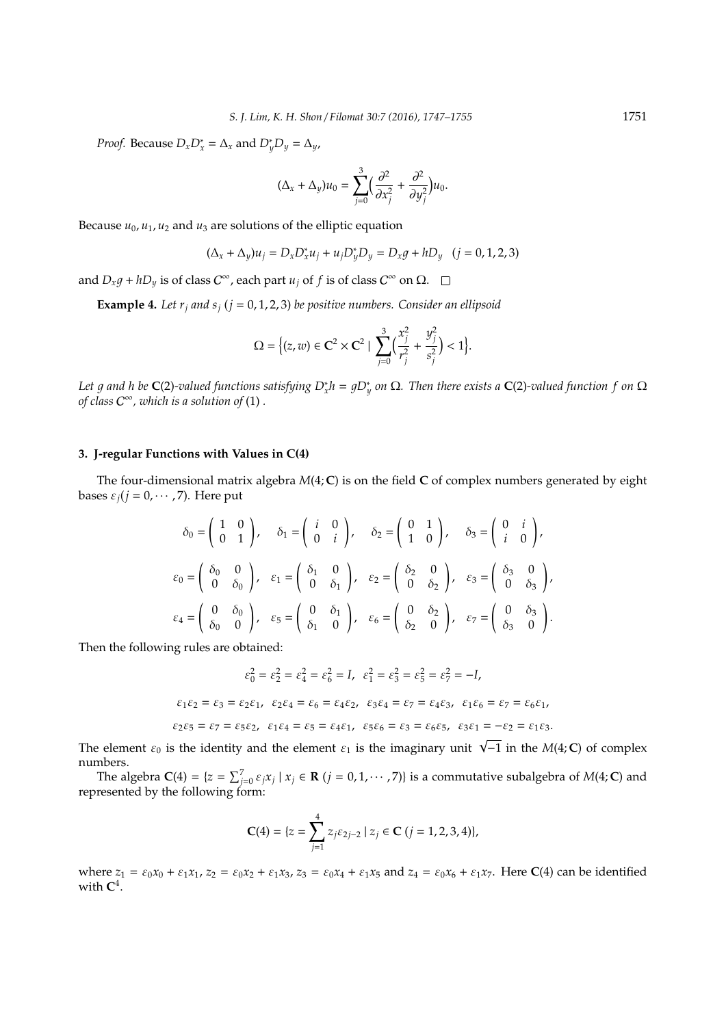*Proof.* Because  $D_x D_x^* = \Delta_x$  and  $D_y^* D_y = \Delta_y$ ,

$$
(\Delta_x + \Delta_y)u_0 = \sum_{j=0}^3 \Bigl(\frac{\partial^2}{\partial x_j^2} + \frac{\partial^2}{\partial y_j^2}\Bigr)u_0.
$$

Because  $u_0$ ,  $u_1$ ,  $u_2$  and  $u_3$  are solutions of the elliptic equation

$$
(\Delta_x + \Delta_y)u_j = D_x D_x^* u_j + u_j D_y^* D_y = D_x g + h D_y \quad (j = 0, 1, 2, 3)
$$

and  $D_x g + h D_y$  is of class  $C^{\infty}$ , each part  $u_j$  of  $f$  is of class  $C^{\infty}$  on  $\Omega$ .

**Example 4.** Let  $r_i$  and  $s_i$  ( $j = 0, 1, 2, 3$ ) be positive numbers. Consider an ellipsoid

$$
\Omega = \Big\{ (z,w) \in \mathbf{C}^2 \times \mathbf{C}^2 \mid \sum_{j=0}^3 \Big( \frac{x_j^2}{r_j^2} + \frac{y_j^2}{s_j^2} \Big) < 1 \Big\}.
$$

*Let g and h be* **C**(2)-valued functions satisfying  $D_x^*h = gD_y^*$  on Ω. Then there exists a **C**(2)-valued function f on  $\Omega$ *of class* C <sup>∞</sup>*, which is a solution of* (1) *.*

#### **3. J-regular Functions with Values in C(4)**

The four-dimensional matrix algebra *M*(4; **C**) is on the field **C** of complex numbers generated by eight bases  $\varepsilon_j$  ( $j = 0, \cdots, 7$ ). Here put

$$
\delta_0 = \begin{pmatrix} 1 & 0 \\ 0 & 1 \end{pmatrix}, \quad \delta_1 = \begin{pmatrix} i & 0 \\ 0 & i \end{pmatrix}, \quad \delta_2 = \begin{pmatrix} 0 & 1 \\ 1 & 0 \end{pmatrix}, \quad \delta_3 = \begin{pmatrix} 0 & i \\ i & 0 \end{pmatrix},
$$

$$
\varepsilon_0 = \begin{pmatrix} \delta_0 & 0 \\ 0 & \delta_0 \end{pmatrix}, \quad \varepsilon_1 = \begin{pmatrix} \delta_1 & 0 \\ 0 & \delta_1 \end{pmatrix}, \quad \varepsilon_2 = \begin{pmatrix} \delta_2 & 0 \\ 0 & \delta_2 \end{pmatrix}, \quad \varepsilon_3 = \begin{pmatrix} \delta_3 & 0 \\ 0 & \delta_3 \end{pmatrix},
$$

$$
\varepsilon_4 = \begin{pmatrix} 0 & \delta_0 \\ \delta_0 & 0 \end{pmatrix}, \quad \varepsilon_5 = \begin{pmatrix} 0 & \delta_1 \\ \delta_1 & 0 \end{pmatrix}, \quad \varepsilon_6 = \begin{pmatrix} 0 & \delta_2 \\ \delta_2 & 0 \end{pmatrix}, \quad \varepsilon_7 = \begin{pmatrix} 0 & \delta_3 \\ \delta_3 & 0 \end{pmatrix}.
$$

Then the following rules are obtained:

$$
\varepsilon_0^2 = \varepsilon_2^2 = \varepsilon_4^2 = \varepsilon_6^2 = I, \quad \varepsilon_1^2 = \varepsilon_3^2 = \varepsilon_5^2 = \varepsilon_7^2 = -I,
$$
  
\n
$$
\varepsilon_1 \varepsilon_2 = \varepsilon_3 = \varepsilon_2 \varepsilon_1, \quad \varepsilon_2 \varepsilon_4 = \varepsilon_6 = \varepsilon_4 \varepsilon_2, \quad \varepsilon_3 \varepsilon_4 = \varepsilon_7 = \varepsilon_4 \varepsilon_3, \quad \varepsilon_1 \varepsilon_6 = \varepsilon_7 = \varepsilon_6 \varepsilon_1,
$$
  
\n
$$
\varepsilon_2 \varepsilon_5 = \varepsilon_7 = \varepsilon_5 \varepsilon_2, \quad \varepsilon_1 \varepsilon_4 = \varepsilon_5 = \varepsilon_4 \varepsilon_1, \quad \varepsilon_5 \varepsilon_6 = \varepsilon_3 = \varepsilon_6 \varepsilon_5, \quad \varepsilon_3 \varepsilon_1 = -\varepsilon_2 = \varepsilon_1 \varepsilon_3.
$$

The element  $\varepsilon_0$  is the identity and the element  $\varepsilon_1$  is the imaginary unit  $\sqrt{-1}$  in the *M*(4; **C**) of complex numbers.

The algebra  $C(4) = \{z = \sum_{j=0}^{7} \varepsilon_j x_j \mid x_j \in \mathbf{R} \ (j=0,1,\cdots,7)\}$  is a commutative subalgebra of  $M(4;\mathbf{C})$  and represented by the following form:

$$
\mathbf{C}(4) = \{ z = \sum_{j=1}^{4} z_j \varepsilon_{2j-2} \mid z_j \in \mathbf{C} \ (j = 1, 2, 3, 4) \},
$$

where  $z_1 = \varepsilon_0 x_0 + \varepsilon_1 x_1$ ,  $z_2 = \varepsilon_0 x_2 + \varepsilon_1 x_3$ ,  $z_3 = \varepsilon_0 x_4 + \varepsilon_1 x_5$  and  $z_4 = \varepsilon_0 x_6 + \varepsilon_1 x_7$ . Here **C**(4) can be identified with  $C^4$ .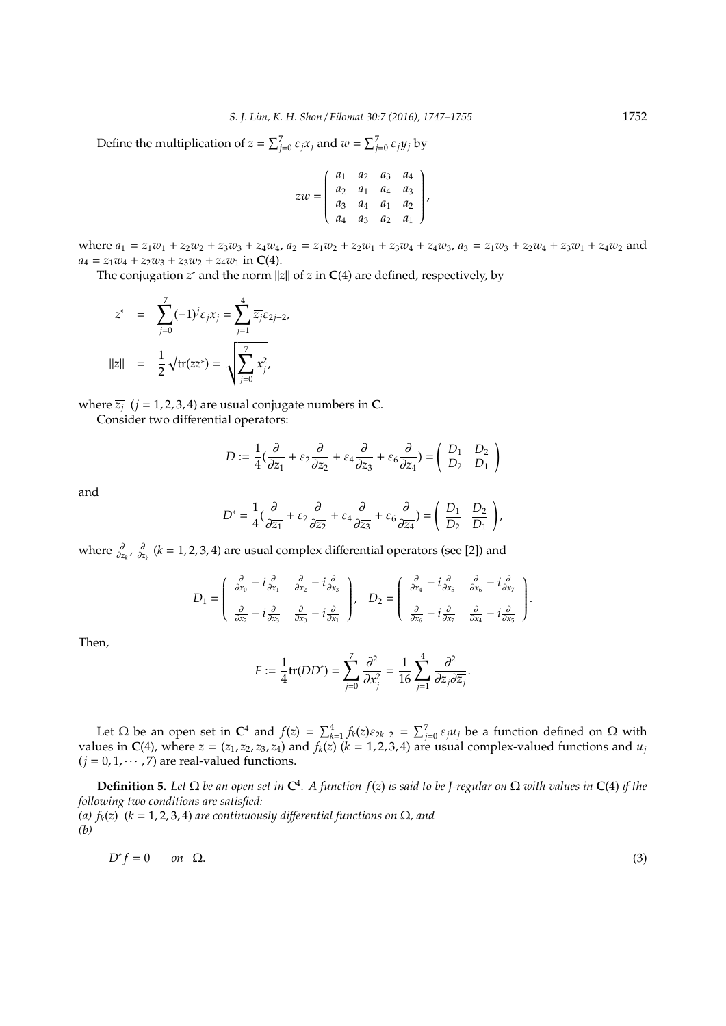Define the multiplication of  $z = \sum_{j=0}^{7} \varepsilon_j x_j$  and  $w = \sum_{j=0}^{7} \varepsilon_j y_j$  by

$$
zw = \begin{pmatrix} a_1 & a_2 & a_3 & a_4 \\ a_2 & a_1 & a_4 & a_3 \\ a_3 & a_4 & a_1 & a_2 \\ a_4 & a_3 & a_2 & a_1 \end{pmatrix},
$$

where  $a_1 = z_1w_1 + z_2w_2 + z_3w_3 + z_4w_4$ ,  $a_2 = z_1w_2 + z_2w_1 + z_3w_4 + z_4w_3$ ,  $a_3 = z_1w_3 + z_2w_4 + z_3w_1 + z_4w_2$  and  $a_4 = z_1w_4 + z_2w_3 + z_3w_2 + z_4w_1$  in **C**(4).

The conjugation *z* <sup>∗</sup> and the norm ||*z*|| of *z* in **C**(4) are defined, respectively, by

$$
z^* = \sum_{j=0}^7 (-1)^j \varepsilon_j x_j = \sum_{j=1}^4 \overline{z_j} \varepsilon_{2j-2},
$$
  
||z|| =  $\frac{1}{2} \sqrt{\text{tr}(zz^*)} = \sqrt{\sum_{j=0}^7 x_j^2},$ 

where  $\overline{z_i}$  ( $j = 1, 2, 3, 4$ ) are usual conjugate numbers in **C**.

Consider two differential operators:

$$
D := \frac{1}{4} \left( \frac{\partial}{\partial z_1} + \varepsilon_2 \frac{\partial}{\partial z_2} + \varepsilon_4 \frac{\partial}{\partial z_3} + \varepsilon_6 \frac{\partial}{\partial z_4} \right) = \begin{pmatrix} D_1 & D_2 \\ D_2 & D_1 \end{pmatrix}
$$

and

$$
D^* = \frac{1}{4} \left( \frac{\partial}{\partial \overline{z_1}} + \varepsilon_2 \frac{\partial}{\partial \overline{z_2}} + \varepsilon_4 \frac{\partial}{\partial \overline{z_3}} + \varepsilon_6 \frac{\partial}{\partial \overline{z_4}} \right) = \left( \begin{array}{cc} \overline{D_1} & \overline{D_2} \\ \overline{D_2} & \overline{D_1} \end{array} \right),
$$

where  $\frac{\partial}{\partial z_k}$ ,  $\frac{\partial}{\partial \overline{z_k}}$  (*k* = 1, 2, 3, 4) are usual complex differential operators (see [2]) and

$$
D_1 = \begin{pmatrix} \frac{\partial}{\partial x_0} - i\frac{\partial}{\partial x_1} & \frac{\partial}{\partial x_2} - i\frac{\partial}{\partial x_3} \\ \frac{\partial}{\partial x_2} - i\frac{\partial}{\partial x_3} & \frac{\partial}{\partial x_0} - i\frac{\partial}{\partial x_1} \end{pmatrix}, \quad D_2 = \begin{pmatrix} \frac{\partial}{\partial x_4} - i\frac{\partial}{\partial x_5} & \frac{\partial}{\partial x_6} - i\frac{\partial}{\partial x_7} \\ \frac{\partial}{\partial x_6} - i\frac{\partial}{\partial x_7} & \frac{\partial}{\partial x_4} - i\frac{\partial}{\partial x_5} \end{pmatrix}.
$$

Then,

$$
F := \frac{1}{4} \text{tr}(DD^*) = \sum_{j=0}^{7} \frac{\partial^2}{\partial x_j^2} = \frac{1}{16} \sum_{j=1}^{4} \frac{\partial^2}{\partial z_j \partial \overline{z}_j}.
$$

Let  $\Omega$  be an open set in  $\mathbb{C}^4$  and  $f(z) = \sum_{k=1}^4 f_k(z) \varepsilon_{2k-2} = \sum_{j=0}^7 \varepsilon_j u_j$  be a function defined on  $\Omega$  with values in  $C(4)$ , where  $z = (z_1, z_2, z_3, z_4)$  and  $f_k(z)$  ( $k = 1, 2, 3, 4$ ) are usual complex-valued functions and  $u_j$  $(j = 0, 1, \dots, 7)$  are real-valued functions.

**Definition 5.** Let  $\Omega$  be an open set in  $\mathbb{C}^4$ . A function  $f(z)$  is said to be J-regular on  $\Omega$  with values in  $\mathbb{C}(4)$  if the *following two conditions are satisfied: (a) fk*(*z*) (*k* = 1, 2, 3, 4) *are continuously di*ff*erential functions on* Ω*, and (b)*

$$
D^*f = 0 \qquad on \quad \Omega. \tag{3}
$$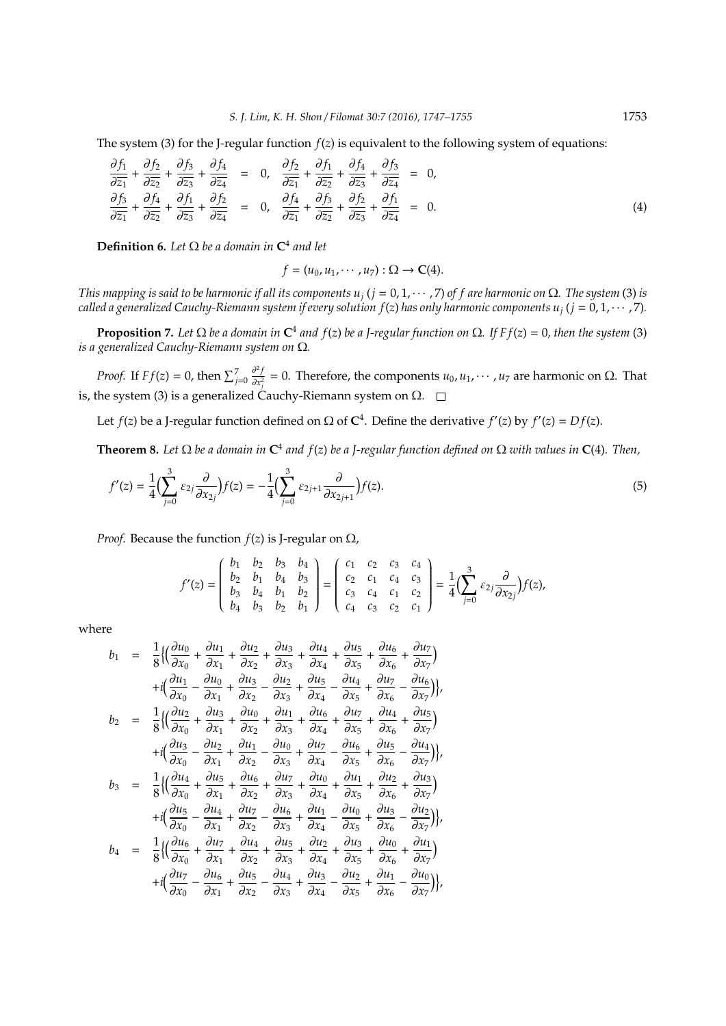The system (3) for the J-regular function *f*(*z*) is equivalent to the following system of equations:

$$
\frac{\partial f_1}{\partial \overline{z_1}} + \frac{\partial f_2}{\partial \overline{z_2}} + \frac{\partial f_3}{\partial \overline{z_3}} + \frac{\partial f_4}{\partial \overline{z_4}} = 0, \quad \frac{\partial f_2}{\partial \overline{z_1}} + \frac{\partial f_1}{\partial \overline{z_2}} + \frac{\partial f_4}{\partial \overline{z_3}} + \frac{\partial f_3}{\partial \overline{z_4}} = 0, \n\frac{\partial f_3}{\partial \overline{z_1}} + \frac{\partial f_1}{\partial \overline{z_2}} + \frac{\partial f_1}{\partial \overline{z_3}} + \frac{\partial f_2}{\partial \overline{z_4}} = 0, \quad \frac{\partial f_4}{\partial \overline{z_1}} + \frac{\partial f_3}{\partial \overline{z_2}} + \frac{\partial f_2}{\partial \overline{z_3}} + \frac{\partial f_1}{\partial \overline{z_4}} = 0.
$$
\n(4)

**Definition 6.** Let  $\Omega$  be a domain in  $\mathbb{C}^4$  and let

$$
f=(u_0,u_1,\cdots,u_7): \Omega\to \mathbf{C}(4).
$$

*This mapping is said to be harmonic if all its components*  $u_i$  *(* $j = 0, 1, \dots, 7$ *) of f are harmonic on*  $\Omega$ *. The system* (3) *is called a generalized Cauchy-Riemann system if every solution*  $f(z)$  *has only harmonic components*  $u_j$  *(* $j = 0, 1, \cdots, 7$ *).* 

**Proposition** 7. Let Ω be a domain in  $C^4$  and  $f(z)$  be a J-regular function on Ω. If F  $f(z) = 0$ , then the system (3) *is a generalized Cauchy-Riemann system on* Ω*.*

*Proof.* If  $Ff(z) = 0$ , then  $\sum_{j=0}^{7}$ ∂ 2 *f*  $\frac{\partial^2 f}{\partial x_j^2} = 0$ . Therefore, the components *u*<sub>0</sub>, *u*<sub>1</sub>, · · · , *u*<sub>7</sub> are harmonic on Ω. That is, the system (3) is a generalized Cauchy-Riemann system on  $\Omega$ .  $\square$ 

Let  $f(z)$  be a J-regular function defined on  $\Omega$  of  $\mathbb{C}^4$ . Define the derivative  $f'(z)$  by  $f'(z) = Df(z)$ .

**Theorem 8.** Let  $\Omega$  be a domain in  $\mathbb{C}^4$  and  $f(z)$  be a J-regular function defined on  $\Omega$  with values in  $\mathbb{C}(4)$ . Then,

$$
f'(z) = \frac{1}{4} \Big( \sum_{j=0}^{3} \varepsilon_{2j} \frac{\partial}{\partial x_{2j}} \Big) f(z) = -\frac{1}{4} \Big( \sum_{j=0}^{3} \varepsilon_{2j+1} \frac{\partial}{\partial x_{2j+1}} \Big) f(z).
$$
 (5)

*Proof.* Because the function  $f(z)$  is J-regular on  $\Omega$ ,

$$
f'(z) = \begin{pmatrix} b_1 & b_2 & b_3 & b_4 \ b_2 & b_1 & b_4 & b_3 \ b_3 & b_4 & b_1 & b_2 \ b_4 & b_3 & b_2 & b_1 \end{pmatrix} = \begin{pmatrix} c_1 & c_2 & c_3 & c_4 \ c_2 & c_1 & c_4 & c_3 \ c_3 & c_4 & c_1 & c_2 \ c_4 & c_3 & c_2 & c_1 \end{pmatrix} = \frac{1}{4} \Big( \sum_{j=0}^3 \varepsilon_{2j} \frac{\partial}{\partial x_{2j}} \Big) f(z),
$$

where

$$
b_1 = \frac{1}{8} \{ \left( \frac{\partial u_0}{\partial x_0} + \frac{\partial u_1}{\partial x_1} + \frac{\partial u_2}{\partial x_2} + \frac{\partial u_3}{\partial x_3} + \frac{\partial u_4}{\partial x_4} + \frac{\partial u_5}{\partial x_5} + \frac{\partial u_6}{\partial x_6} + \frac{\partial u_7}{\partial x_7} \right) + i \left( \frac{\partial u_1}{\partial x_0} - \frac{\partial u_0}{\partial x_1} + \frac{\partial u_3}{\partial x_2} - \frac{\partial u_2}{\partial x_3} + \frac{\partial u_5}{\partial x_4} - \frac{\partial u_4}{\partial x_5} + \frac{\partial u_7}{\partial x_6} - \frac{\partial u_6}{\partial x_7} \right) \},
$$
  
\n
$$
b_2 = \frac{1}{8} \{ \left( \frac{\partial u_2}{\partial x_0} + \frac{\partial u_3}{\partial x_1} + \frac{\partial u_0}{\partial x_2} + \frac{\partial u_1}{\partial x_3} + \frac{\partial u_6}{\partial x_4} + \frac{\partial u_7}{\partial x_5} + \frac{\partial u_4}{\partial x_6} + \frac{\partial u_5}{\partial x_7} \right) \},
$$
  
\n
$$
b_3 = \frac{1}{8} \{ \left( \frac{\partial u_4}{\partial x_0} + \frac{\partial u_5}{\partial x_1} + \frac{\partial u_6}{\partial x_2} - \frac{\partial u_7}{\partial x_3} + \frac{\partial u_0}{\partial x_4} - \frac{\partial u_6}{\partial x_5} + \frac{\partial u_5}{\partial x_6} - \frac{\partial u_4}{\partial x_7} \right) \},
$$
  
\n
$$
b_3 = \frac{1}{8} \{ \left( \frac{\partial u_4}{\partial x_0} + \frac{\partial u_5}{\partial x_1} + \frac{\partial u_6}{\partial x_2} + \frac{\partial u_7}{\partial x_3} + \frac{\partial u_0}{\partial x_4} + \frac{\partial u_1}{\partial x_5} + \frac{\partial u_2}{\partial x_6} + \frac{\partial u_3}{\partial x_7} \right) \},
$$
  
\n
$$
b_4 = \frac{1}{8} \{ \left( \frac{\partial u_
$$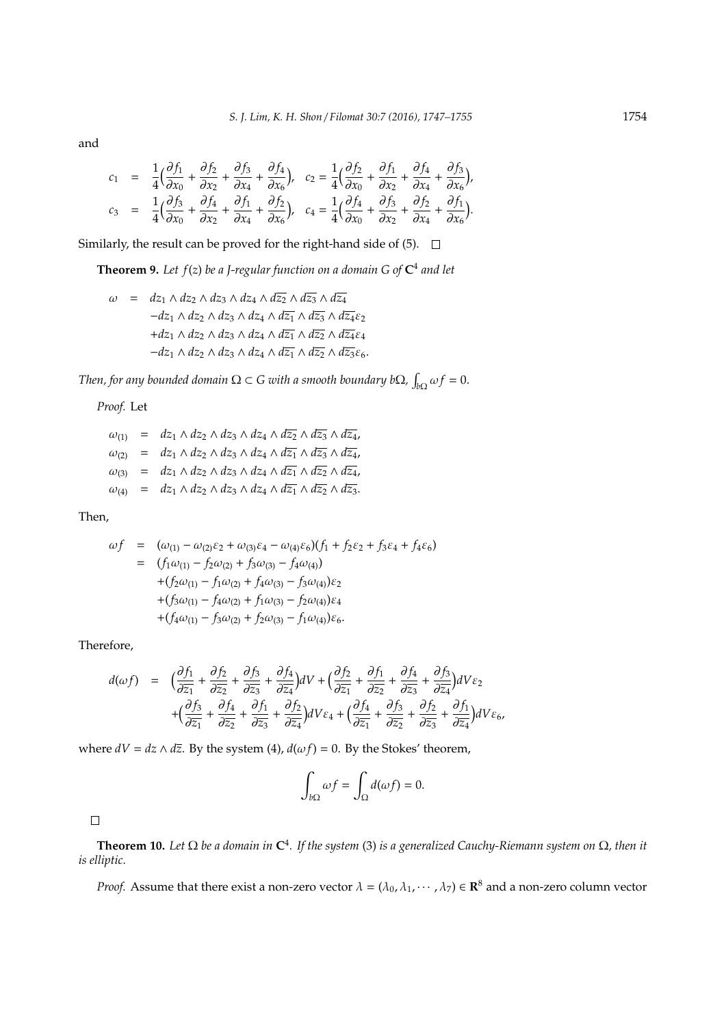and

$$
c_1 = \frac{1}{4} \left( \frac{\partial f_1}{\partial x_0} + \frac{\partial f_2}{\partial x_2} + \frac{\partial f_3}{\partial x_4} + \frac{\partial f_4}{\partial x_6} \right), \quad c_2 = \frac{1}{4} \left( \frac{\partial f_2}{\partial x_0} + \frac{\partial f_1}{\partial x_2} + \frac{\partial f_4}{\partial x_4} + \frac{\partial f_3}{\partial x_6} \right),
$$
  

$$
c_3 = \frac{1}{4} \left( \frac{\partial f_3}{\partial x_0} + \frac{\partial f_4}{\partial x_2} + \frac{\partial f_1}{\partial x_4} + \frac{\partial f_2}{\partial x_6} \right), \quad c_4 = \frac{1}{4} \left( \frac{\partial f_4}{\partial x_0} + \frac{\partial f_3}{\partial x_2} + \frac{\partial f_2}{\partial x_4} + \frac{\partial f_1}{\partial x_6} \right).
$$

Similarly, the result can be proved for the right-hand side of  $(5)$ .  $\Box$ 

**Theorem 9.** *Let f*(*z*) *be a J-regular function on a domain G of* **C** 4 *and let*

 $ω = dz_1 ∧ dz_2 ∧ dz_3 ∧ dz_4 ∧ d\overline{z_2} ∧ d\overline{z_3} ∧ d\overline{z_4}$  $-dz_1 \wedge dz_2 \wedge dz_3 \wedge dz_4 \wedge d\overline{z_1} \wedge d\overline{z_3} \wedge d\overline{z_4} \varepsilon_2$ +*dz*<sup>1</sup> ∧ *dz*<sup>2</sup> ∧ *dz*<sup>3</sup> ∧ *dz*<sup>4</sup> ∧ *dz*<sup>1</sup> ∧ *dz*<sup>2</sup> ∧ *dz*4ε<sup>4</sup>  $-dz_1$  ∧ *dz*<sub>2</sub> ∧ *dz*<sub>3</sub> ∧ *dz*<sub>4</sub> ∧ *dz*<sub>1</sub> ∧ *dz*<sub>2</sub> ∧ *dz*<sub>3</sub> ε<sub>6</sub>.

*Then, for any bounded domain*  $\Omega \subset G$  with a smooth boundary b $\Omega$ ,  $\int_{b\Omega} \omega f = 0$ .

*Proof.* Let

$$
\begin{array}{rcl}\n\omega_{(1)} & = & dz_1 \wedge dz_2 \wedge dz_3 \wedge dz_4 \wedge d\overline{z_2} \wedge d\overline{z_3} \wedge d\overline{z_4}, \\
\omega_{(2)} & = & dz_1 \wedge dz_2 \wedge dz_3 \wedge dz_4 \wedge d\overline{z_1} \wedge d\overline{z_3} \wedge d\overline{z_4}, \\
\omega_{(3)} & = & dz_1 \wedge dz_2 \wedge dz_3 \wedge dz_4 \wedge d\overline{z_1} \wedge d\overline{z_2} \wedge d\overline{z_4}, \\
\omega_{(4)} & = & dz_1 \wedge dz_2 \wedge dz_3 \wedge dz_4 \wedge d\overline{z_1} \wedge d\overline{z_2} \wedge d\overline{z_3}.\n\end{array}
$$

Then,

$$
\omega f = (\omega_{(1)} - \omega_{(2)}\varepsilon_2 + \omega_{(3)}\varepsilon_4 - \omega_{(4)}\varepsilon_6)(f_1 + f_2\varepsilon_2 + f_3\varepsilon_4 + f_4\varepsilon_6) \n= (f_1\omega_{(1)} - f_2\omega_{(2)} + f_3\omega_{(3)} - f_4\omega_{(4)}) \n+ (f_2\omega_{(1)} - f_1\omega_{(2)} + f_4\omega_{(3)} - f_3\omega_{(4)})\varepsilon_2 \n+ (f_3\omega_{(1)} - f_4\omega_{(2)} + f_1\omega_{(3)} - f_2\omega_{(4)})\varepsilon_4 \n+ (f_4\omega_{(1)} - f_3\omega_{(2)} + f_2\omega_{(3)} - f_1\omega_{(4)})\varepsilon_6.
$$

Therefore,

$$
d(\omega f) = \left(\frac{\partial f_1}{\partial \overline{z_1}} + \frac{\partial f_2}{\partial \overline{z_2}} + \frac{\partial f_3}{\partial \overline{z_3}} + \frac{\partial f_4}{\partial \overline{z_4}}\right) dV + \left(\frac{\partial f_2}{\partial \overline{z_1}} + \frac{\partial f_1}{\partial \overline{z_2}} + \frac{\partial f_4}{\partial \overline{z_3}} + \frac{\partial f_3}{\partial \overline{z_4}}\right) dV \varepsilon_2 + \left(\frac{\partial f_3}{\partial \overline{z_1}} + \frac{\partial f_4}{\partial \overline{z_2}} + \frac{\partial f_1}{\partial \overline{z_3}} + \frac{\partial f_2}{\partial \overline{z_4}}\right) dV \varepsilon_4 + \left(\frac{\partial f_4}{\partial \overline{z_1}} + \frac{\partial f_3}{\partial \overline{z_2}} + \frac{\partial f_2}{\partial \overline{z_3}} + \frac{\partial f_1}{\partial \overline{z_4}}\right) dV \varepsilon_6,
$$

where  $dV = dz \wedge d\overline{z}$ . By the system (4),  $d(\omega f) = 0$ . By the Stokes' theorem,

$$
\int_{b\Omega} \omega f = \int_{\Omega} d(\omega f) = 0.
$$

 $\Box$ 

**Theorem 10.** *Let* Ω *be a domain in* **C** 4 *. If the system* (3) *is a generalized Cauchy-Riemann system on* Ω*, then it is elliptic.*

*Proof.* Assume that there exist a non-zero vector  $\lambda = (\lambda_0, \lambda_1, \cdots, \lambda_7) \in \mathbb{R}^8$  and a non-zero column vector